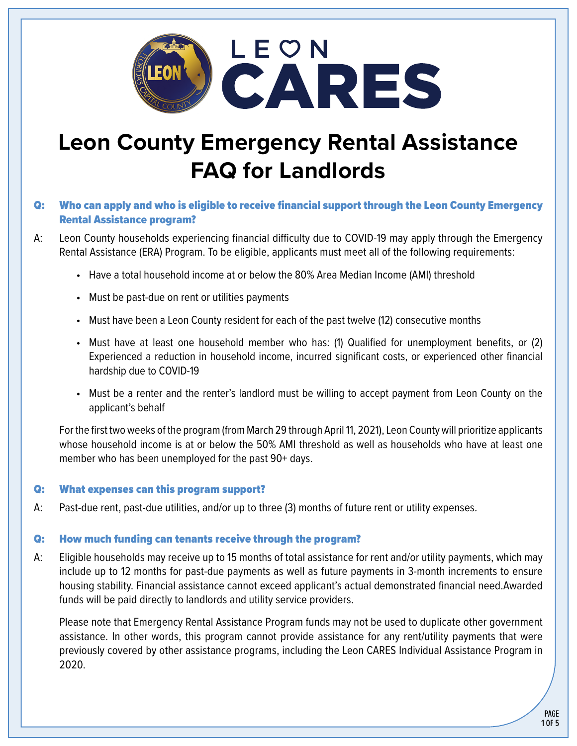

# **Leon County Emergency Rental Assistance FAQ for Landlords**

# Q: Who can apply and who is eligible to receive financial support through the Leon County Emergency Rental Assistance program?

- A: Leon County households experiencing financial difficulty due to COVID-19 may apply through the Emergency Rental Assistance (ERA) Program. To be eligible, applicants must meet all of the following requirements:
	- Have a total household income at or below the 80% Area Median Income (AMI) threshold
	- Must be past-due on rent or utilities payments
	- Must have been a Leon County resident for each of the past twelve (12) consecutive months
	- Must have at least one household member who has: (1) Qualified for unemployment benefits, or (2) Experienced a reduction in household income, incurred significant costs, or experienced other financial hardship due to COVID-19
	- Must be a renter and the renter's landlord must be willing to accept payment from Leon County on the applicant's behalf

For the first two weeks of the program (from March 29 through April 11, 2021), Leon County will prioritize applicants whose household income is at or below the 50% AMI threshold as well as households who have at least one member who has been unemployed for the past 90+ days.

#### Q: What expenses can this program support?

A: Past-due rent, past-due utilities, and/or up to three (3) months of future rent or utility expenses.

## Q: How much funding can tenants receive through the program?

A: Eligible households may receive up to 15 months of total assistance for rent and/or utility payments, which may include up to 12 months for past-due payments as well as future payments in 3-month increments to ensure housing stability. Financial assistance cannot exceed applicant's actual demonstrated financial need.Awarded funds will be paid directly to landlords and utility service providers.

Please note that Emergency Rental Assistance Program funds may not be used to duplicate other government assistance. In other words, this program cannot provide assistance for any rent/utility payments that were previously covered by other assistance programs, including the Leon CARES Individual Assistance Program in 2020.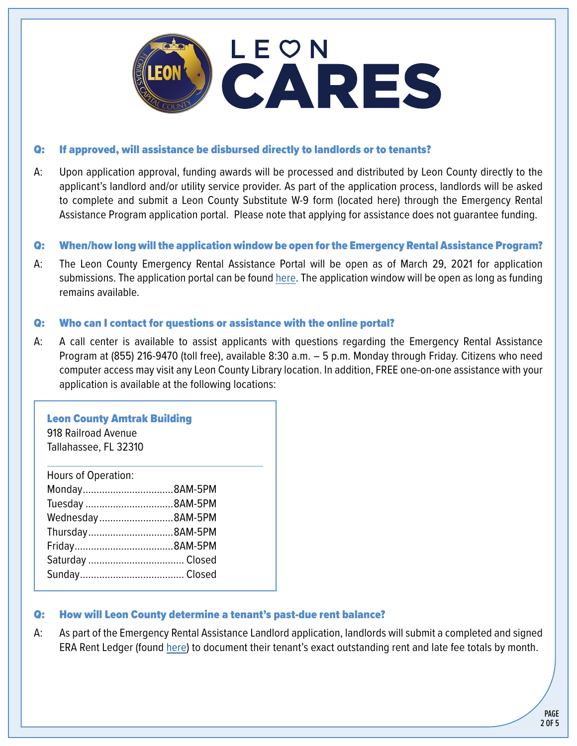

#### Q: If approved, will assistance be disbursed directly to landlords or to tenants?

A: Upon application approval, funding awards will be processed and distributed by Leon County directly to the applicant's landlord and/or utility service provider. As part of the application process, landlords will be asked to complete and submit a Leon County Substitute W-9 form (located here) through the Emergency Rental Assistance Program application portal. Please note that applying for assistance does not guarantee funding.

#### Q: When/how long will the application window be open for the Emergency Rental Assistance Program?

A: The Leon County Emergency Rental Assistance Portal will be open as of March 29, 2021 for application submissions. The application portal can be found [here.](https://portal.neighborlysoftware.com/ERAP-LEONCOUNTYFL/PARTICIPANT) The application window will be open as long as funding remains available.

#### Q: Who can I contact for questions or assistance with the online portal?

A: A call center is available to assist applicants with questions regarding the Emergency Rental Assistance Program at (855) 216-9470 (toll free), available 8:30 a.m. – 5 p.m. Monday through Friday. Citizens who need computer access may visit any Leon County Library location. In addition, FREE one-on-one assistance with your application is available at the following locations:

#### Leon County Amtrak Building

918 Railroad Avenue Tallahassee, FL 32310

| <b>Hours of Operation:</b> |  |
|----------------------------|--|
|                            |  |
| Tuesday 8AM-5PM            |  |
| Wednesday8AM-5PM           |  |
| Thursday8AM-5PM            |  |
|                            |  |
|                            |  |
|                            |  |

## Q: How will Leon County determine a tenant's past-due rent balance?

A: As part of the Emergency Rental Assistance Landlord application, landlords will submit a completed and signed ERA Rent Ledger (found [here](https://cms.leoncountyfl.gov/Portals/0/HousingandHumanServices/HousingFiles/ERA%20Rent%20Ledger%20Template.pdf?ver=u9guvzq52t2C_KqY5BsOPg%3d%3d)) to document their tenant's exact outstanding rent and late fee totals by month.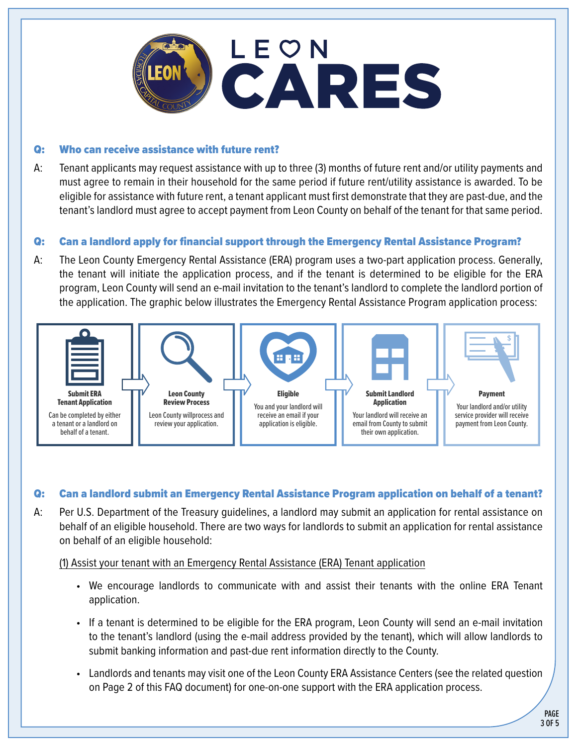

#### Q: Who can receive assistance with future rent?

A: Tenant applicants may request assistance with up to three (3) months of future rent and/or utility payments and must agree to remain in their household for the same period if future rent/utility assistance is awarded. To be eligible for assistance with future rent, a tenant applicant must first demonstrate that they are past-due, and the tenant's landlord must agree to accept payment from Leon County on behalf of the tenant for that same period.

# Q: Can a landlord apply for financial support through the Emergency Rental Assistance Program?

A: The Leon County Emergency Rental Assistance (ERA) program uses a two-part application process. Generally, the tenant will initiate the application process, and if the tenant is determined to be eligible for the ERA program, Leon County will send an e-mail invitation to the tenant's landlord to complete the landlord portion of the application. The graphic below illustrates the Emergency Rental Assistance Program application process:



## Q: Can a landlord submit an Emergency Rental Assistance Program application on behalf of a tenant?

A: Per U.S. Department of the Treasury guidelines, a landlord may submit an application for rental assistance on behalf of an eligible household. There are two ways for landlords to submit an application for rental assistance on behalf of an eligible household:

#### (1) Assist your tenant with an Emergency Rental Assistance (ERA) Tenant application

- We encourage landlords to communicate with and assist their tenants with the online ERA Tenant application.
- If a tenant is determined to be eligible for the ERA program, Leon County will send an e-mail invitation to the tenant's landlord (using the e-mail address provided by the tenant), which will allow landlords to submit banking information and past-due rent information directly to the County.
- Landlords and tenants may visit one of the Leon County ERA Assistance Centers (see the related question on Page 2 of this FAQ document) for one-on-one support with the ERA application process.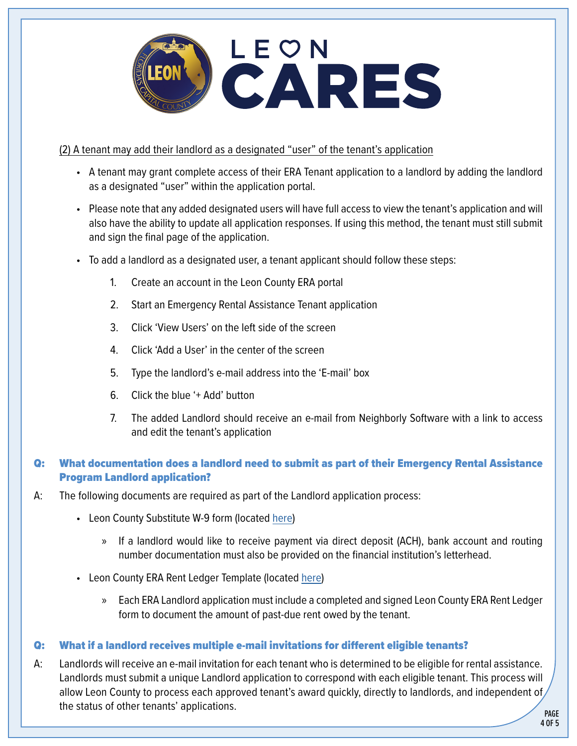

## (2) A tenant may add their landlord as a designated "user" of the tenant's application

- A tenant may grant complete access of their ERA Tenant application to a landlord by adding the landlord as a designated "user" within the application portal.
- Please note that any added designated users will have full access to view the tenant's application and will also have the ability to update all application responses. If using this method, the tenant must still submit and sign the final page of the application.
- To add a landlord as a designated user, a tenant applicant should follow these steps:
	- 1. Create an account in the Leon County ERA portal
	- 2. Start an Emergency Rental Assistance Tenant application
	- 3. Click 'View Users' on the left side of the screen
	- 4. Click 'Add a User' in the center of the screen
	- 5. Type the landlord's e-mail address into the 'E-mail' box
	- 6. Click the blue '+ Add' button
	- 7. The added Landlord should receive an e-mail from Neighborly Software with a link to access and edit the tenant's application

# Q: What documentation does a landlord need to submit as part of their Emergency Rental Assistance Program Landlord application?

- A: The following documents are required as part of the Landlord application process:
	- Leon County Substitute W-9 form (located [here](https://cms.leoncountyfl.gov/Portals/0/HousingandHumanServices/HousingFiles/LEON%20COUNTY%20W-9%20FORM%20-%20ERA.pdf?ver=rjwn1xXGgVd38_xBo0NyEA%3d%3d))
		- » If a landlord would like to receive payment via direct deposit (ACH), bank account and routing number documentation must also be provided on the financial institution's letterhead.
	- Leon County ERA Rent Ledger Template (located [here](https://cms.leoncountyfl.gov/Portals/0/HousingandHumanServices/HousingFiles/ERA%20Rent%20Ledger%20Template.pdf?ver=u9guvzq52t2C_KqY5BsOPg%3d%3d))
		- » Each ERA Landlord application must include a completed and signed Leon County ERA Rent Ledger form to document the amount of past-due rent owed by the tenant.

## Q: What if a landlord receives multiple e-mail invitations for different eligible tenants?

A: Landlords will receive an e-mail invitation for each tenant who is determined to be eligible for rental assistance. Landlords must submit a unique Landlord application to correspond with each eligible tenant. This process will allow Leon County to process each approved tenant's award quickly, directly to landlords, and independent of the status of other tenants' applications.